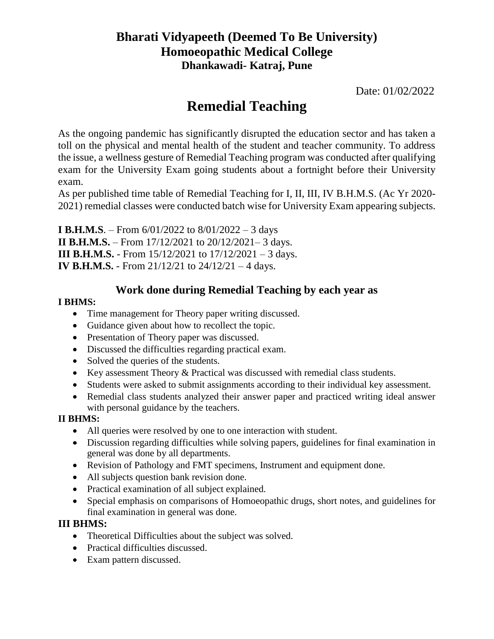# **Bharati Vidyapeeth (Deemed To Be University) Homoeopathic Medical College Dhankawadi- Katraj, Pune**

Date: 01/02/2022

# **Remedial Teaching**

As the ongoing pandemic has significantly disrupted the education sector and has taken a toll on the physical and mental health of the student and teacher community. To address the issue, a wellness gesture of Remedial Teaching program was conducted after qualifying exam for the University Exam going students about a fortnight before their University exam.

As per published time table of Remedial Teaching for I, II, III, IV B.H.M.S. (Ac Yr 2020- 2021) remedial classes were conducted batch wise for University Exam appearing subjects.

**I B.H.M.S**. – From 6/01/2022 to 8/01/2022 – 3 days **II B.H.M.S.** – From 17/12/2021 to 20/12/2021– 3 days. **III B.H.M.S.** - From 15/12/2021 to 17/12/2021 – 3 days. **IV B.H.M.S.** - From 21/12/21 to 24/12/21 – 4 days.

# **Work done during Remedial Teaching by each year as**

### **I BHMS:**

- Time management for Theory paper writing discussed.
- Guidance given about how to recollect the topic.
- Presentation of Theory paper was discussed.
- Discussed the difficulties regarding practical exam.
- Solved the queries of the students.
- Key assessment Theory & Practical was discussed with remedial class students.
- Students were asked to submit assignments according to their individual key assessment.
- Remedial class students analyzed their answer paper and practiced writing ideal answer with personal guidance by the teachers.

### **II BHMS:**

- All queries were resolved by one to one interaction with student.
- Discussion regarding difficulties while solving papers, guidelines for final examination in general was done by all departments.
- Revision of Pathology and FMT specimens, Instrument and equipment done.
- All subjects question bank revision done.
- Practical examination of all subject explained.
- Special emphasis on comparisons of Homoeopathic drugs, short notes, and guidelines for final examination in general was done.

### **III BHMS:**

- Theoretical Difficulties about the subject was solved.
- Practical difficulties discussed.
- Exam pattern discussed.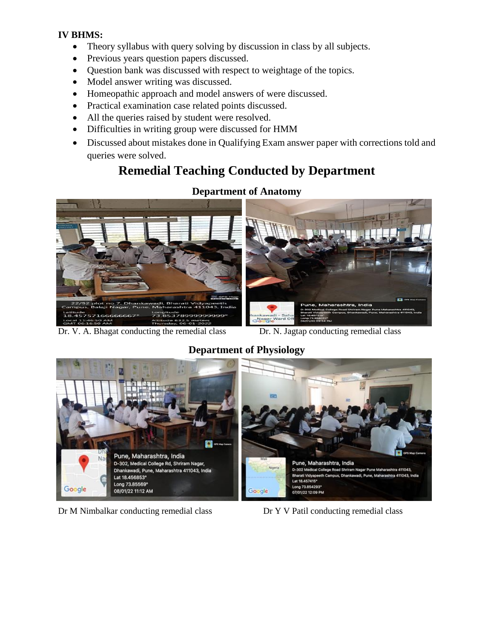#### **IV BHMS:**

- Theory syllabus with query solving by discussion in class by all subjects.
- Previous years question papers discussed.
- Question bank was discussed with respect to weightage of the topics.
- Model answer writing was discussed.
- Homeopathic approach and model answers of were discussed.
- Practical examination case related points discussed.
- All the queries raised by student were resolved.
- Difficulties in writing group were discussed for HMM
- Discussed about mistakes done in Qualifying Exam answer paper with corrections told and queries were solved.

# **Remedial Teaching Conducted by Department**



Dr. V. A. Bhagat conducting the remedial class Dr. N. Jagtap conducting remedial class

### **Department of Physiology**



Dr M Nimbalkar conducting remedial class Dr Y V Patil conducting remedial class

#### **Department of Anatomy**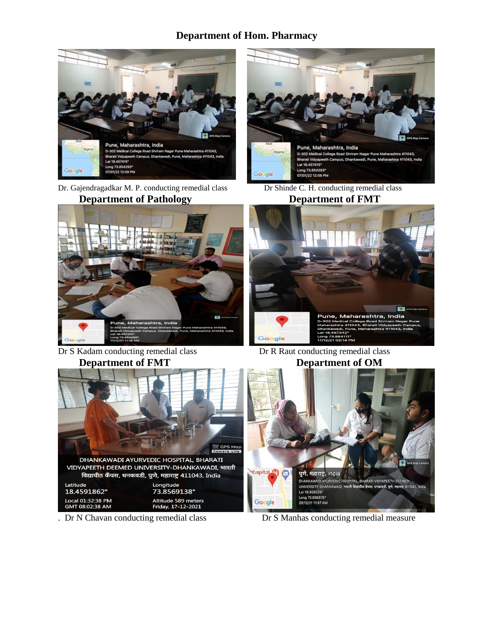### **Department of Hom. Pharmacy**



Dr. Gajendragadkar M. P. conducting remedial class Dr Shinde C. H. conducting remedial class **Department of Pathology Beam Department of FMT** 



Dr S Kadam conducting remedial class Dr R Raut conducting remedial class **Department of FMT** Department of OM







# **lospital** पुणे, महाराष्ट्र, India DHANKAWADI AYURVEDIC HO PITAL, BHARATI VIDYAPEETH DEEMED .<br>रिठ कॅंपस, धनकवडी, पुणे, महाराष्ट्र 411043, India UNIVERSITY-DHANKAWADI, भारती बिर Lat 18.458529° Long 73.856875°<br>20/12/21 11:37 AM Google  $\parallel$

. Dr N Chavan conducting remedial class Dr S Manhas conducting remedial measure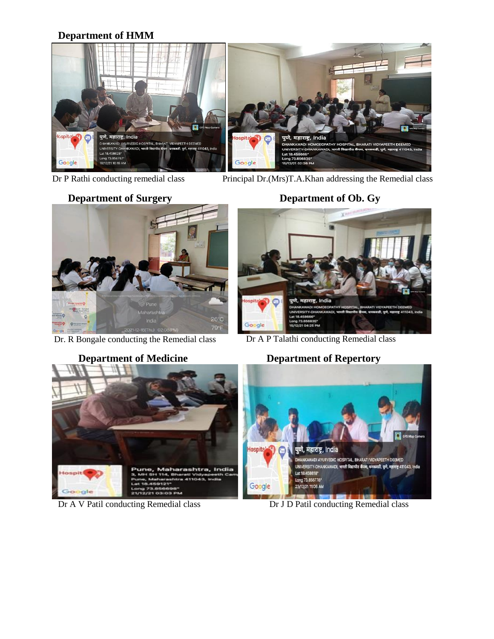## **Department of HMM**



Dr P Rathi conducting remedial class Principal Dr.(Mrs)T.A.Khan addressing the Remedial class

Dr. R Bongale conducting the Remedial class

# **Department of Surgery Department of Ob. Gy**



Dr A P Talathi conducting Remedial class



Dr A V Patil conducting Remedial class Dr J D Patil conducting Remedial class

## **Department of Medicine Department of Repertory**